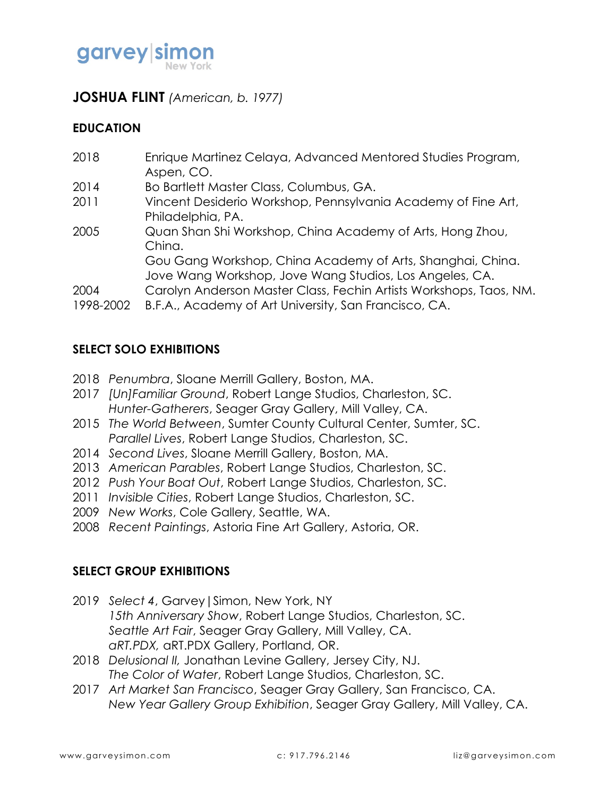

## **JOSHUA FLINT** *(American, b. 1977)*

### **EDUCATION**

| 2018      | Enrique Martinez Celaya, Advanced Mentored Studies Program,        |
|-----------|--------------------------------------------------------------------|
|           | Aspen, CO.                                                         |
| 2014      | Bo Bartlett Master Class, Columbus, GA.                            |
| 2011      | Vincent Desiderio Workshop, Pennsylvania Academy of Fine Art,      |
|           | Philadelphia, PA.                                                  |
| 2005      | Quan Shan Shi Workshop, China Academy of Arts, Hong Zhou,          |
|           | China.                                                             |
|           | Gou Gang Workshop, China Academy of Arts, Shanghai, China.         |
|           | Jove Wang Workshop, Jove Wang Studios, Los Angeles, CA.            |
| 2004      | Carolyn Anderson Master Class, Fechin Artists Workshops, Taos, NM. |
| 1998-2002 | B.F.A., Academy of Art University, San Francisco, CA.              |
|           |                                                                    |

## **SELECT SOLO EXHIBITIONS**

- 2018 *Penumbra*, Sloane Merrill Gallery, Boston, MA.
- 2017 *[Un]Familiar Ground*, Robert Lange Studios, Charleston, SC. *Hunter-Gatherers*, Seager Gray Gallery, Mill Valley, CA.
- 2015 *The World Between*, Sumter County Cultural Center, Sumter, SC. *Parallel Lives*, Robert Lange Studios, Charleston, SC.
- 2014 *Second Lives*, Sloane Merrill Gallery, Boston, MA.
- 2013 *American Parables*, Robert Lange Studios, Charleston, SC.
- 2012 *Push Your Boat Out*, Robert Lange Studios, Charleston, SC.
- 2011 *Invisible Cities*, Robert Lange Studios, Charleston, SC.
- 2009 *New Works*, Cole Gallery, Seattle, WA.
- 2008 *Recent Paintings*, Astoria Fine Art Gallery, Astoria, OR.

### **SELECT GROUP EXHIBITIONS**

- 2019 *Select 4*, Garvey|Simon, New York, NY *15th Anniversary Show*, Robert Lange Studios, Charleston, SC. *Seattle Art Fair*, Seager Gray Gallery, Mill Valley, CA. *aRT.PDX,* aRT.PDX Gallery, Portland, OR.
- 2018 *Delusional II,* Jonathan Levine Gallery, Jersey City, NJ. *The Color of Water*, Robert Lange Studios, Charleston, SC.
- 2017 *Art Market San Francisco*, Seager Gray Gallery, San Francisco, CA. *New Year Gallery Group Exhibition*, Seager Gray Gallery, Mill Valley, CA.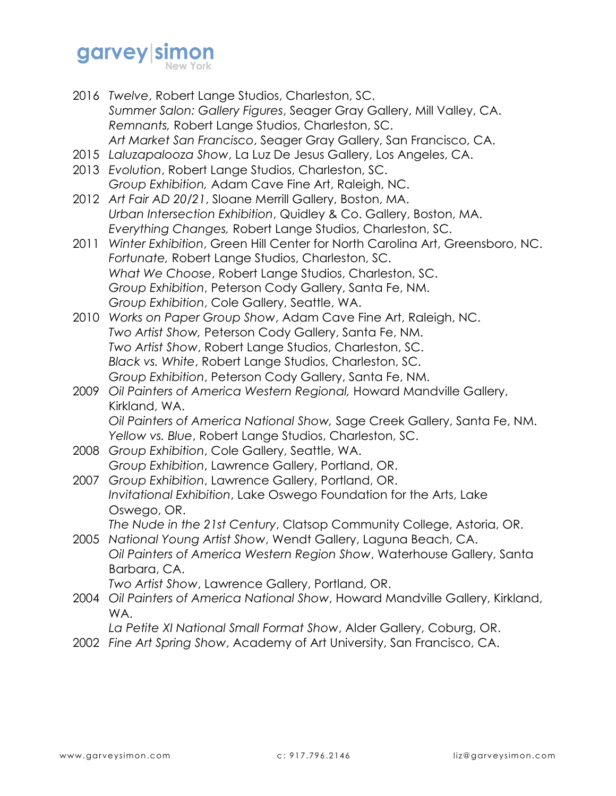# garvey simon

- 2016 *Twelve*, Robert Lange Studios, Charleston, SC. *Summer Salon: Gallery Figures*, Seager Gray Gallery, Mill Valley, CA. *Remnants,* Robert Lange Studios, Charleston, SC. *Art Market San Francisco*, Seager Gray Gallery, San Francisco, CA.
- 2015 *Laluzapalooza Show*, La Luz De Jesus Gallery, Los Angeles, CA.
- 2013 *Evolution*, Robert Lange Studios, Charleston, SC. *Group Exhibition,* Adam Cave Fine Art, Raleigh, NC.
- 2012 *Art Fair AD 20/21*, Sloane Merrill Gallery, Boston, MA. *Urban Intersection Exhibition*, Quidley & Co. Gallery, Boston, MA. *Everything Changes,* Robert Lange Studios, Charleston, SC.
- 2011 *Winter Exhibition*, Green Hill Center for North Carolina Art, Greensboro, NC. *Fortunate,* Robert Lange Studios, Charleston, SC. *What We Choose*, Robert Lange Studios, Charleston, SC. *Group Exhibition*, Peterson Cody Gallery, Santa Fe, NM. *Group Exhibition*, Cole Gallery, Seattle, WA.
- 2010 *Works on Paper Group Show*, Adam Cave Fine Art, Raleigh, NC. *Two Artist Show,* Peterson Cody Gallery, Santa Fe, NM. *Two Artist Show*, Robert Lange Studios, Charleston, SC. *Black vs. White*, Robert Lange Studios, Charleston, SC. *Group Exhibition*, Peterson Cody Gallery, Santa Fe, NM.
- 2009 *Oil Painters of America Western Regional,* Howard Mandville Gallery, Kirkland, WA. *Oil Painters of America National Show,* Sage Creek Gallery, Santa Fe, NM. *Yellow vs. Blue*, Robert Lange Studios, Charleston, SC.
- 2008 *Group Exhibition*, Cole Gallery, Seattle, WA. *Group Exhibition*, Lawrence Gallery, Portland, OR.
- 2007 *Group Exhibition*, Lawrence Gallery, Portland, OR. *Invitational Exhibition*, Lake Oswego Foundation for the Arts, Lake Oswego, OR.

*The Nude in the 21st Century*, Clatsop Community College, Astoria, OR.

2005 *National Young Artist Show*, Wendt Gallery, Laguna Beach, CA. *Oil Painters of America Western Region Show*, Waterhouse Gallery, Santa Barbara, CA.

*Two Artist Show*, Lawrence Gallery, Portland, OR.

2004 *Oil Painters of America National Show*, Howard Mandville Gallery, Kirkland, WA.

*La Petite XI National Small Format Show*, Alder Gallery, Coburg, OR.

2002 *Fine Art Spring Show*, Academy of Art University, San Francisco, CA.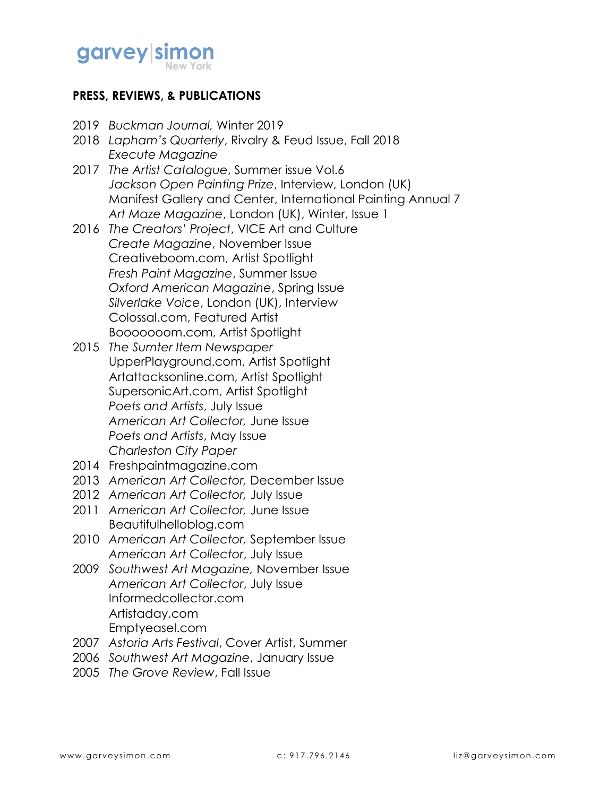

## **PRESS, REVIEWS, & PUBLICATIONS**

- 2019 *Buckman Journal,* Winter 2019
- 2018 *Lapham's Quarterly*, Rivalry & Feud Issue, Fall 2018 *Execute Magazine*
- 2017 *The Artist Catalogue*, Summer issue Vol.6 *Jackson Open Painting Prize*, Interview, London (UK) Manifest Gallery and Center, International Painting Annual 7 *Art Maze Magazine*, London (UK), Winter, Issue 1
- 2016 *The Creators' Project*, VICE Art and Culture *Create Magazine*, November Issue Creativeboom.com, Artist Spotlight *Fresh Paint Magazine*, Summer Issue *Oxford American Magazine*, Spring Issue *Silverlake Voice*, London (UK), Interview Colossal.com, Featured Artist Booooooom.com, Artist Spotlight
- 2015 *The Sumter Item Newspaper* UpperPlayground.com, Artist Spotlight Artattacksonline.com, Artist Spotlight SupersonicArt.com, Artist Spotlight *Poets and Artists*, July Issue *American Art Collector,* June Issue *Poets and Artists*, May Issue *Charleston City Paper*
- 2014 Freshpaintmagazine.com
- 2013 *American Art Collector,* December Issue
- 2012 *American Art Collector,* July Issue
- 2011 *American Art Collector,* June Issue Beautifulhelloblog.com
- 2010 *American Art Collector,* September Issue *American Art Collector*, July Issue
- 2009 *Southwest Art Magazine,* November Issue *American Art Collector*, July Issue Informedcollector.com Artistaday.com Emptyeasel.com
- 2007 *Astoria Arts Festival*, Cover Artist, Summer
- 2006 *Southwest Art Magazine*, January Issue
- 2005 *The Grove Review*, Fall Issue